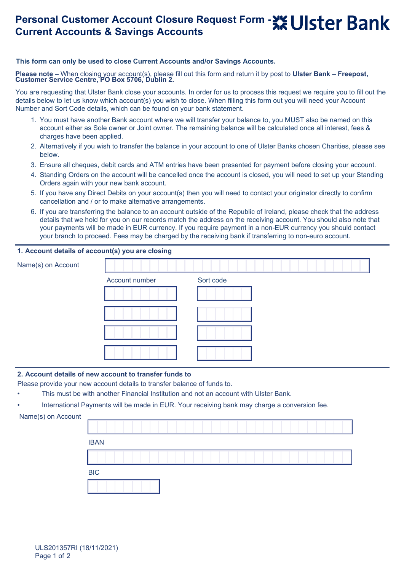# **Personal Customer Account Closure Request Form - > Luister Bank Current Accounts & Savings Accounts**

## **This form can only be used to close Current Accounts and/or Savings Accounts.**

**Please note –** When closing your account(s), please fill out this form and return it by post to **Ulster Bank – Freepost, Customer Service Centre, PO Box 5706, Dublin 2.**

You are requesting that Ulster Bank close your accounts. In order for us to process this request we require you to fill out the details below to let us know which account(s) you wish to close. When filling this form out you will need your Account Number and Sort Code details, which can be found on your bank statement.

- 1. You must have another Bank account where we will transfer your balance to, you MUST also be named on this account either as Sole owner or Joint owner. The remaining balance will be calculated once all interest, fees & charges have been applied.
- 2. Alternatively if you wish to transfer the balance in your account to one of Ulster Banks chosen Charities, please see below.
- 3. Ensure all cheques, debit cards and ATM entries have been presented for payment before closing your account.
- 4. Standing Orders on the account will be cancelled once the account is closed, you will need to set up your Standing Orders again with your new bank account.
- 5. If you have any Direct Debits on your account(s) then you will need to contact your originator directly to confirm cancellation and / or to make alternative arrangements.
- 6. If you are transferring the balance to an account outside of the Republic of Ireland, please check that the address details that we hold for you on our records match the address on the receiving account. You should also note that your payments will be made in EUR currency. If you require payment in a non-EUR currency you should contact your branch to proceed. Fees may be charged by the receiving bank if transferring to non-euro account.

## **1. Account details of account(s) you are closing**

| Name(s) on Account |                |           |
|--------------------|----------------|-----------|
|                    | Account number | Sort code |
|                    |                |           |
|                    |                |           |
|                    |                |           |
|                    |                |           |

### **2. Account details of new account to transfer funds to**

Please provide your new account details to transfer balance of funds to.

- This must be with another Financial Institution and not an account with Ulster Bank.
- International Payments will be made in EUR. Your receiving bank may charge a conversion fee.

```
Name(s) on Account
```

| <b>IBAN</b> |  |  |  |  |
|-------------|--|--|--|--|
|             |  |  |  |  |
| <b>BIC</b>  |  |  |  |  |
|             |  |  |  |  |